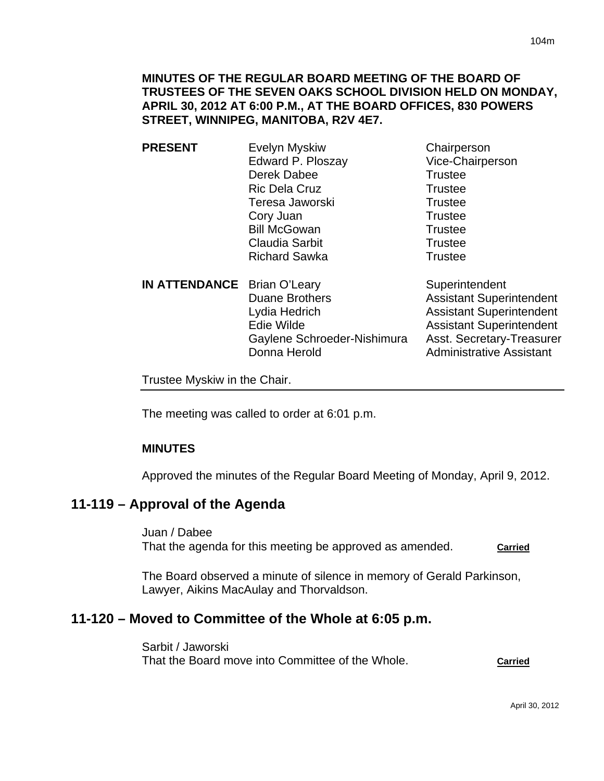**MINUTES OF THE REGULAR BOARD MEETING OF THE BOARD OF TRUSTEES OF THE SEVEN OAKS SCHOOL DIVISION HELD ON MONDAY, APRIL 30, 2012 AT 6:00 P.M., AT THE BOARD OFFICES, 830 POWERS STREET, WINNIPEG, MANITOBA, R2V 4E7.** 

- **PRESENT** Evelyn Myskiw Chairperson Edward P. Ploszay Vice-Chairperson Derek Dabee Trustee Ric Dela Cruz Trustee Teresa Jaworski **Trustee** Cory Juan Trustee Bill McGowan Trustee Claudia Sarbit **Trustee** Richard Sawka Trustee
- **IN ATTENDANCE** Brian O'Leary Superintendent Duane Brothers **Assistant Superintendent** Lydia Hedrich **Assistant Superintendent** Edie Wilde **Assistant Superintendent** Gaylene Schroeder-Nishimura Asst. Secretary-Treasurer Donna Herold **Administrative Assistant**

Trustee Myskiw in the Chair.

The meeting was called to order at 6:01 p.m.

#### **MINUTES**

Approved the minutes of the Regular Board Meeting of Monday, April 9, 2012.

# **11-119 – Approval of the Agenda**

Juan / Dabee That the agenda for this meeting be approved as amended. **Carried**

The Board observed a minute of silence in memory of Gerald Parkinson, Lawyer, Aikins MacAulay and Thorvaldson.

# **11-120 – Moved to Committee of the Whole at 6:05 p.m.**

Sarbit / Jaworski That the Board move into Committee of the Whole. **Carried**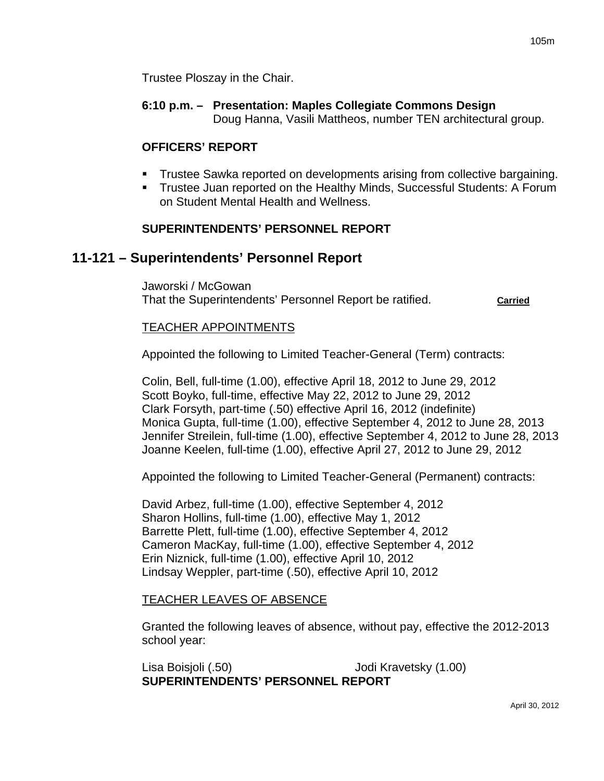**6:10 p.m. – Presentation: Maples Collegiate Commons Design**  Doug Hanna, Vasili Mattheos, number TEN architectural group.

# **OFFICERS' REPORT**

- Trustee Sawka reported on developments arising from collective bargaining.
- Trustee Juan reported on the Healthy Minds, Successful Students: A Forum on Student Mental Health and Wellness.

# **SUPERINTENDENTS' PERSONNEL REPORT**

# **11-121 – Superintendents' Personnel Report**

Jaworski / McGowan That the Superintendents' Personnel Report be ratified. **Carried**

### TEACHER APPOINTMENTS

Appointed the following to Limited Teacher-General (Term) contracts:

Colin, Bell, full-time (1.00), effective April 18, 2012 to June 29, 2012 Scott Boyko, full-time, effective May 22, 2012 to June 29, 2012 Clark Forsyth, part-time (.50) effective April 16, 2012 (indefinite) Monica Gupta, full-time (1.00), effective September 4, 2012 to June 28, 2013 Jennifer Streilein, full-time (1.00), effective September 4, 2012 to June 28, 2013 Joanne Keelen, full-time (1.00), effective April 27, 2012 to June 29, 2012

Appointed the following to Limited Teacher-General (Permanent) contracts:

David Arbez, full-time (1.00), effective September 4, 2012 Sharon Hollins, full-time (1.00), effective May 1, 2012 Barrette Plett, full-time (1.00), effective September 4, 2012 Cameron MacKay, full-time (1.00), effective September 4, 2012 Erin Niznick, full-time (1.00), effective April 10, 2012 Lindsay Weppler, part-time (.50), effective April 10, 2012

### TEACHER LEAVES OF ABSENCE

Granted the following leaves of absence, without pay, effective the 2012-2013 school year:

Lisa Boisjoli (.50) Jodi Kravetsky (1.00) **SUPERINTENDENTS' PERSONNEL REPORT**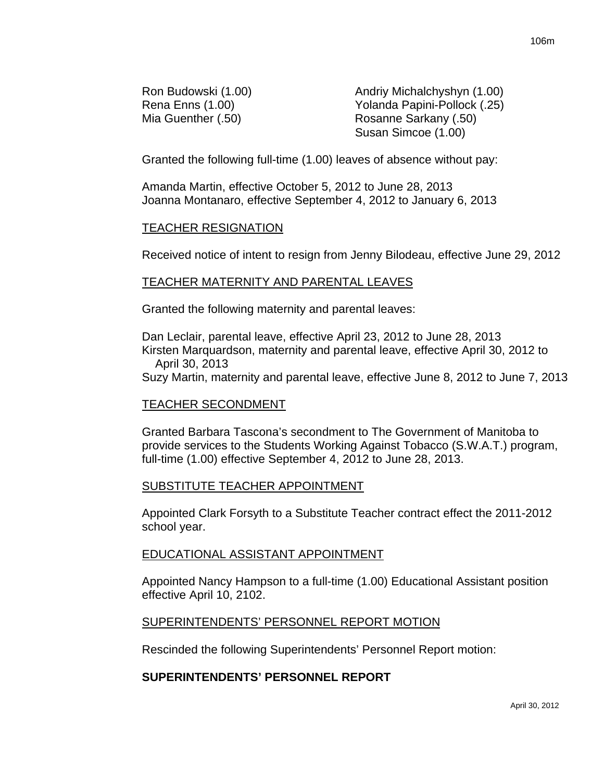Ron Budowski (1.00) **Andriy Michalchyshyn** (1.00) Rena Enns (1.00) Yolanda Papini-Pollock (.25) Mia Guenther (.50) Rosanne Sarkany (.50) Susan Simcoe (1.00)

Granted the following full-time (1.00) leaves of absence without pay:

Amanda Martin, effective October 5, 2012 to June 28, 2013 Joanna Montanaro, effective September 4, 2012 to January 6, 2013

#### TEACHER RESIGNATION

Received notice of intent to resign from Jenny Bilodeau, effective June 29, 2012

#### TEACHER MATERNITY AND PARENTAL LEAVES

Granted the following maternity and parental leaves:

Dan Leclair, parental leave, effective April 23, 2012 to June 28, 2013 Kirsten Marquardson, maternity and parental leave, effective April 30, 2012 to April 30, 2013

Suzy Martin, maternity and parental leave, effective June 8, 2012 to June 7, 2013

#### TEACHER SECONDMENT

Granted Barbara Tascona's secondment to The Government of Manitoba to provide services to the Students Working Against Tobacco (S.W.A.T.) program, full-time (1.00) effective September 4, 2012 to June 28, 2013.

#### SUBSTITUTE TEACHER APPOINTMENT

Appointed Clark Forsyth to a Substitute Teacher contract effect the 2011-2012 school year.

#### EDUCATIONAL ASSISTANT APPOINTMENT

Appointed Nancy Hampson to a full-time (1.00) Educational Assistant position effective April 10, 2102.

#### SUPERINTENDENTS' PERSONNEL REPORT MOTION

Rescinded the following Superintendents' Personnel Report motion:

#### **SUPERINTENDENTS' PERSONNEL REPORT**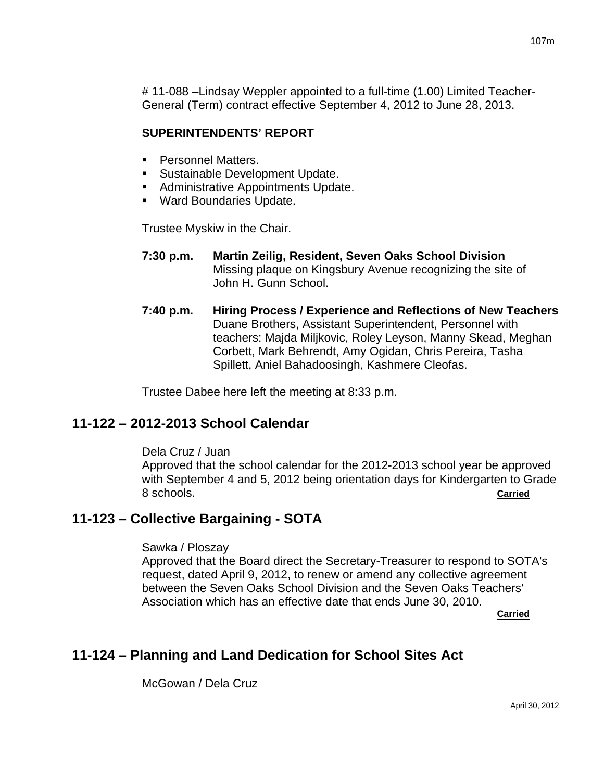# 11-088 –Lindsay Weppler appointed to a full-time (1.00) Limited Teacher-General (Term) contract effective September 4, 2012 to June 28, 2013.

# **SUPERINTENDENTS' REPORT**

- **Personnel Matters.**
- **Sustainable Development Update.**
- **Administrative Appointments Update.**
- Ward Boundaries Update.

Trustee Myskiw in the Chair.

- **7:30 p.m. Martin Zeilig, Resident, Seven Oaks School Division** Missing plaque on Kingsbury Avenue recognizing the site of John H. Gunn School.
- **7:40 p.m. Hiring Process / Experience and Reflections of New Teachers**  Duane Brothers, Assistant Superintendent, Personnel with teachers: Majda Miljkovic, Roley Leyson, Manny Skead, Meghan Corbett, Mark Behrendt, Amy Ogidan, Chris Pereira, Tasha Spillett, Aniel Bahadoosingh, Kashmere Cleofas.

Trustee Dabee here left the meeting at 8:33 p.m.

# **11-122 – 2012-2013 School Calendar**

Dela Cruz / Juan

Approved that the school calendar for the 2012-2013 school year be approved with September 4 and 5, 2012 being orientation days for Kindergarten to Grade 8 schools. **Carried**

# **11-123 – Collective Bargaining - SOTA**

### Sawka / Ploszay

Approved that the Board direct the Secretary-Treasurer to respond to SOTA's request, dated April 9, 2012, to renew or amend any collective agreement between the Seven Oaks School Division and the Seven Oaks Teachers' Association which has an effective date that ends June 30, 2010. **Carried Carried Carried Carried Carried Carried Carried Carried Carried Carried Carried Carried Carried Carried Carried Carried Carried Carried Carried Carried Carried Carried Carried Carried Carried Carried Carried Carri** 

# **11-124 – Planning and Land Dedication for School Sites Act**

McGowan / Dela Cruz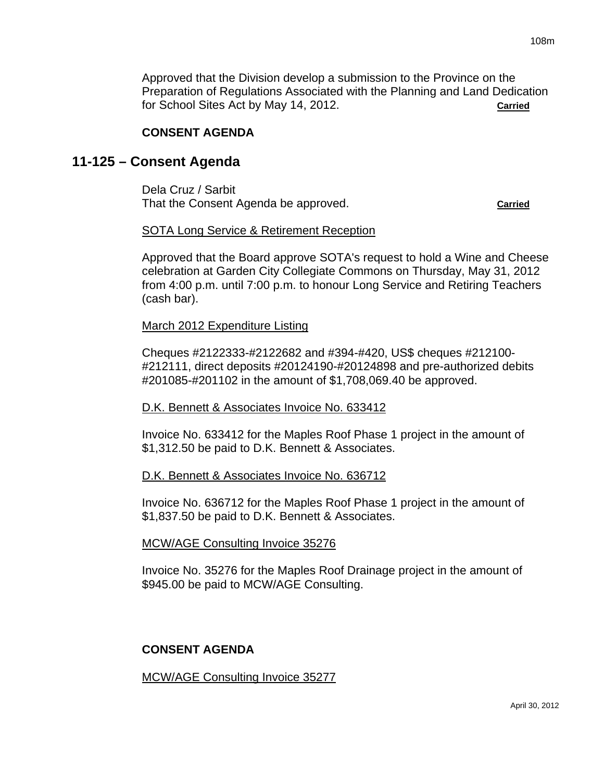Approved that the Division develop a submission to the Province on the Preparation of Regulations Associated with the Planning and Land Dedication for School Sites Act by May 14, 2012. **Carried**

### **CONSENT AGENDA**

# **11-125 – Consent Agenda**

Dela Cruz / Sarbit That the Consent Agenda be approved. **Carried**

### SOTA Long Service & Retirement Reception

Approved that the Board approve SOTA's request to hold a Wine and Cheese celebration at Garden City Collegiate Commons on Thursday, May 31, 2012 from 4:00 p.m. until 7:00 p.m. to honour Long Service and Retiring Teachers (cash bar).

### March 2012 Expenditure Listing

Cheques #2122333-#2122682 and #394-#420, US\$ cheques #212100- #212111, direct deposits #20124190-#20124898 and pre-authorized debits #201085-#201102 in the amount of \$1,708,069.40 be approved.

#### D.K. Bennett & Associates Invoice No. 633412

Invoice No. 633412 for the Maples Roof Phase 1 project in the amount of \$1,312.50 be paid to D.K. Bennett & Associates.

### D.K. Bennett & Associates Invoice No. 636712

Invoice No. 636712 for the Maples Roof Phase 1 project in the amount of \$1,837.50 be paid to D.K. Bennett & Associates.

#### MCW/AGE Consulting Invoice 35276

Invoice No. 35276 for the Maples Roof Drainage project in the amount of \$945.00 be paid to MCW/AGE Consulting.

### **CONSENT AGENDA**

MCW/AGE Consulting Invoice 35277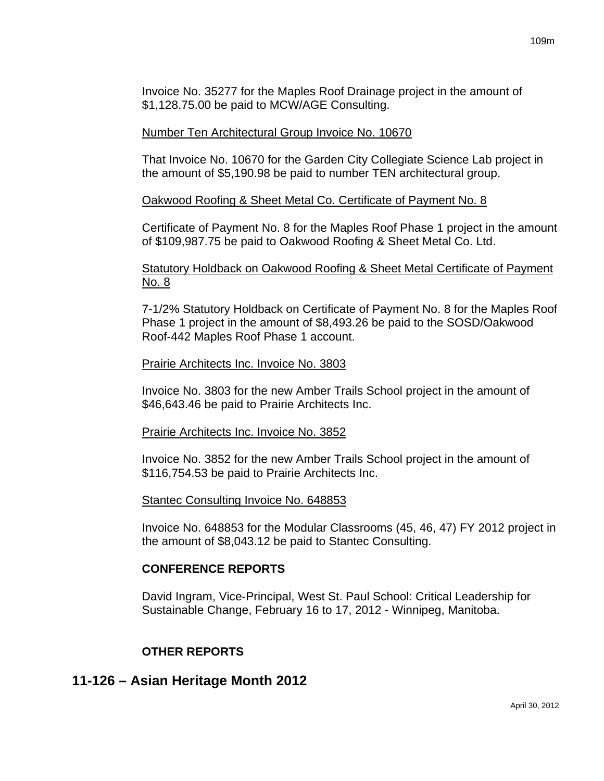Invoice No. 35277 for the Maples Roof Drainage project in the amount of \$1,128.75.00 be paid to MCW/AGE Consulting.

## Number Ten Architectural Group Invoice No. 10670

That Invoice No. 10670 for the Garden City Collegiate Science Lab project in the amount of \$5,190.98 be paid to number TEN architectural group.

# Oakwood Roofing & Sheet Metal Co. Certificate of Payment No. 8

Certificate of Payment No. 8 for the Maples Roof Phase 1 project in the amount of \$109,987.75 be paid to Oakwood Roofing & Sheet Metal Co. Ltd.

# Statutory Holdback on Oakwood Roofing & Sheet Metal Certificate of Payment No. 8

7-1/2% Statutory Holdback on Certificate of Payment No. 8 for the Maples Roof Phase 1 project in the amount of \$8,493.26 be paid to the SOSD/Oakwood Roof-442 Maples Roof Phase 1 account.

### Prairie Architects Inc. Invoice No. 3803

Invoice No. 3803 for the new Amber Trails School project in the amount of \$46,643.46 be paid to Prairie Architects Inc.

### Prairie Architects Inc. Invoice No. 3852

Invoice No. 3852 for the new Amber Trails School project in the amount of \$116,754.53 be paid to Prairie Architects Inc.

### Stantec Consulting Invoice No. 648853

Invoice No. 648853 for the Modular Classrooms (45, 46, 47) FY 2012 project in the amount of \$8,043.12 be paid to Stantec Consulting.

### **CONFERENCE REPORTS**

David Ingram, Vice-Principal, West St. Paul School: Critical Leadership for Sustainable Change, February 16 to 17, 2012 - Winnipeg, Manitoba.

# **OTHER REPORTS**

# **11-126 – Asian Heritage Month 2012**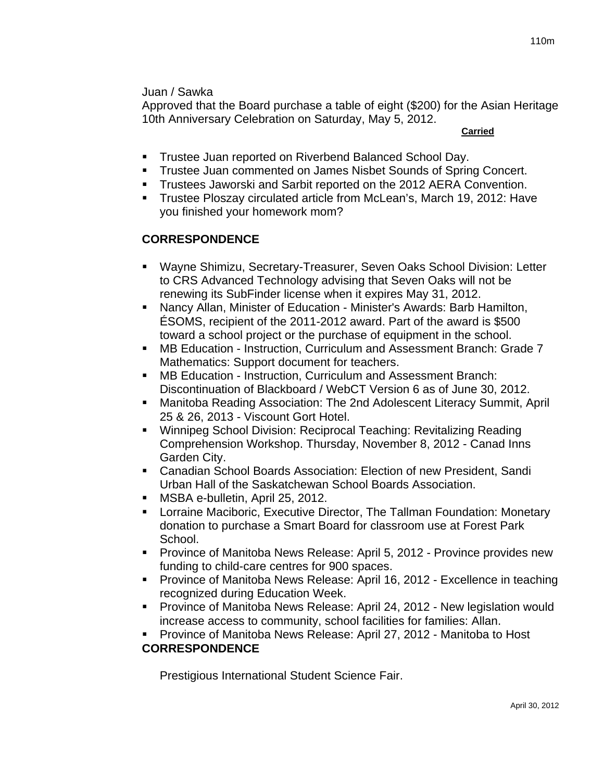Approved that the Board purchase a table of eight (\$200) for the Asian Heritage 10th Anniversary Celebration on Saturday, May 5, 2012.

**Carried** 

- **Trustee Juan reported on Riverbend Balanced School Day.**
- Trustee Juan commented on James Nisbet Sounds of Spring Concert.
- **Trustees Jaworski and Sarbit reported on the 2012 AERA Convention.**
- **Trustee Ploszay circulated article from McLean's, March 19, 2012: Have** you finished your homework mom?

# **CORRESPONDENCE**

- Wayne Shimizu, Secretary-Treasurer, Seven Oaks School Division: Letter to CRS Advanced Technology advising that Seven Oaks will not be renewing its SubFinder license when it expires May 31, 2012.
- Nancy Allan, Minister of Education Minister's Awards: Barb Hamilton, ÉSOMS, recipient of the 2011-2012 award. Part of the award is \$500 toward a school project or the purchase of equipment in the school.
- MB Education Instruction, Curriculum and Assessment Branch: Grade 7 Mathematics: Support document for teachers.
- MB Education Instruction, Curriculum and Assessment Branch: Discontinuation of Blackboard / WebCT Version 6 as of June 30, 2012.
- Manitoba Reading Association: The 2nd Adolescent Literacy Summit, April 25 & 26, 2013 - Viscount Gort Hotel.
- Winnipeg School Division: Reciprocal Teaching: Revitalizing Reading Comprehension Workshop. Thursday, November 8, 2012 - Canad Inns Garden City.
- Canadian School Boards Association: Election of new President, Sandi Urban Hall of the Saskatchewan School Boards Association.
- **MSBA e-bulletin, April 25, 2012.**
- Lorraine Maciboric, Executive Director, The Tallman Foundation: Monetary donation to purchase a Smart Board for classroom use at Forest Park School.
- **Province of Manitoba News Release: April 5, 2012 Province provides new** funding to child-care centres for 900 spaces.
- **Province of Manitoba News Release: April 16, 2012 Excellence in teaching** recognized during Education Week.
- Province of Manitoba News Release: April 24, 2012 New legislation would increase access to community, school facilities for families: Allan.
- Province of Manitoba News Release: April 27, 2012 Manitoba to Host

# **CORRESPONDENCE**

Prestigious International Student Science Fair.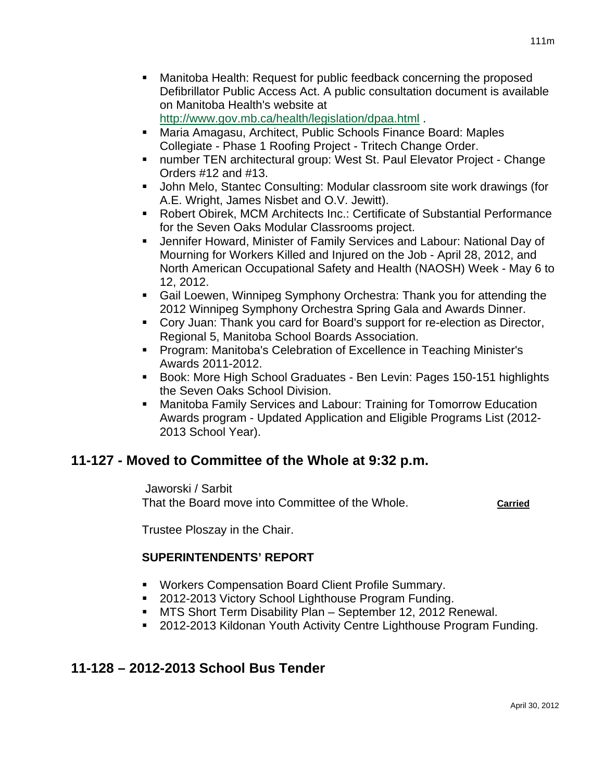<http://www.gov.mb.ca/health/legislation/dpaa.html> .

- Maria Amagasu, Architect, Public Schools Finance Board: Maples Collegiate - Phase 1 Roofing Project - Tritech Change Order.
- number TEN architectural group: West St. Paul Elevator Project Change Orders #12 and #13.
- John Melo, Stantec Consulting: Modular classroom site work drawings (for A.E. Wright, James Nisbet and O.V. Jewitt).
- Robert Obirek, MCM Architects Inc.: Certificate of Substantial Performance for the Seven Oaks Modular Classrooms project.
- Jennifer Howard, Minister of Family Services and Labour: National Day of Mourning for Workers Killed and Injured on the Job - April 28, 2012, and North American Occupational Safety and Health (NAOSH) Week - May 6 to 12, 2012.
- Gail Loewen, Winnipeg Symphony Orchestra: Thank you for attending the 2012 Winnipeg Symphony Orchestra Spring Gala and Awards Dinner.
- Cory Juan: Thank you card for Board's support for re-election as Director, Regional 5, Manitoba School Boards Association.
- **Program: Manitoba's Celebration of Excellence in Teaching Minister's** Awards 2011-2012.
- Book: More High School Graduates Ben Levin: Pages 150-151 highlights the Seven Oaks School Division.
- Manitoba Family Services and Labour: Training for Tomorrow Education Awards program - Updated Application and Eligible Programs List (2012- 2013 School Year).

# **11-127 - Moved to Committee of the Whole at 9:32 p.m.**

 Jaworski / Sarbit That the Board move into Committee of the Whole. **Carried**

Trustee Ploszay in the Chair.

# **SUPERINTENDENTS' REPORT**

- Workers Compensation Board Client Profile Summary.
- 2012-2013 Victory School Lighthouse Program Funding.
- MTS Short Term Disability Plan September 12, 2012 Renewal.
- 2012-2013 Kildonan Youth Activity Centre Lighthouse Program Funding.

# **11-128 – 2012-2013 School Bus Tender**